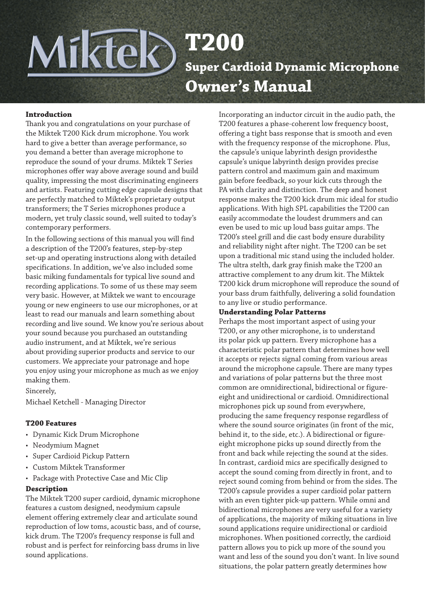# Miktek **T200 Super Cardioid Dynamic Microphone Owner's Manual**

## **Introduction**

Thank you and congratulations on your purchase of the Miktek T200 Kick drum microphone. You work hard to give a better than average performance, so you demand a better than average microphone to reproduce the sound of your drums. Miktek T Series microphones offer way above average sound and build quality, impressing the most discriminating engineers and artists. Featuring cutting edge capsule designs that are perfectly matched to Miktek's proprietary output transformers; the T Series microphones produce a modern, yet truly classic sound, well suited to today's contemporary performers.

In the following sections of this manual you will find a description of the T200's features, step-by-step set-up and operating instructions along with detailed specifications. In addition, we've also included some basic miking fundamentals for typical live sound and recording applications. To some of us these may seem very basic. However, at Miktek we want to encourage young or new engineers to use our microphones, or at least to read our manuals and learn something about recording and live sound. We know you're serious about your sound because you purchased an outstanding audio instrument, and at Miktek, we're serious about providing superior products and service to our customers. We appreciate your patronage and hope you enjoy using your microphone as much as we enjoy making them.

Sincerely,

Michael Ketchell - Managing Director

#### **T200 Features**

- Dynamic Kick Drum Microphone
- Neodymium Magnet
- Super Cardioid Pickup Pattern
- Custom Miktek Transformer
- Package with Protective Case and Mic Clip

#### **Description**

The Miktek T200 super cardioid, dynamic microphone features a custom designed, neodymium capsule element offering extremely clear and articulate sound reproduction of low toms, acoustic bass, and of course, kick drum. The T200's frequency response is full and robust and is perfect for reinforcing bass drums in live sound applications.

Incorporating an inductor circuit in the audio path, the T200 features a phase-coherent low frequency boost, offering a tight bass response that is smooth and even with the frequency response of the microphone. Plus, the capsule's unique labyrinth design providesthe capsule's unique labyrinth design provides precise pattern control and maximum gain and maximum gain before feedback, so your kick cuts through the PA with clarity and distinction. The deep and honest response makes the T200 kick drum mic ideal for studio applications. With high SPL capabilities the T200 can easily accommodate the loudest drummers and can even be used to mic up loud bass guitar amps. The T200's steel grill and die cast body ensure durability and reliability night after night. The T200 can be set upon a traditional mic stand using the included holder. The ultra stelth, dark gray finish make the T200 an attractive complement to any drum kit. The Miktek T200 kick drum microphone will reproduce the sound of your bass drum faithfully, delivering a solid foundation to any live or studio performance.

#### **Understanding Polar Patterns**

Perhaps the most important aspect of using your T200, or any other microphone, is to understand its polar pick up pattern. Every microphone has a characteristic polar pattern that determines how well it accepts or rejects signal coming from various areas around the microphone capsule. There are many types and variations of polar patterns but the three most common are omnidirectional, bidirectional or figureeight and unidirectional or cardioid. Omnidirectional microphones pick up sound from everywhere, producing the same frequency response regardless of where the sound source originates (in front of the mic, behind it, to the side, etc.). A bidirectional or figureeight microphone picks up sound directly from the front and back while rejecting the sound at the sides. In contrast, cardioid mics are specifically designed to accept the sound coming from directly in front, and to reject sound coming from behind or from the sides. The T200's capsule provides a super cardioid polar pattern with an even tighter pick-up pattern. While omni and bidirectional microphones are very useful for a variety of applications, the majority of miking situations in live sound applications require unidirectional or cardioid microphones. When positioned correctly, the cardioid pattern allows you to pick up more of the sound you want and less of the sound you don't want. In live sound situations, the polar pattern greatly determines how